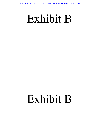# Exhibit B

# Exhibit B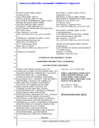|                                                         | Cass&33-&c032278-758WDDcomera80-3FiFeb0930034PRgetE2fo229                                                                                                                                                                                                                                                                                                                                                                                                                                                                                |                                                                                                                                                                                                                                                                                                                                                                                                                                                                                                                                                                  |
|---------------------------------------------------------|------------------------------------------------------------------------------------------------------------------------------------------------------------------------------------------------------------------------------------------------------------------------------------------------------------------------------------------------------------------------------------------------------------------------------------------------------------------------------------------------------------------------------------------|------------------------------------------------------------------------------------------------------------------------------------------------------------------------------------------------------------------------------------------------------------------------------------------------------------------------------------------------------------------------------------------------------------------------------------------------------------------------------------------------------------------------------------------------------------------|
|                                                         |                                                                                                                                                                                                                                                                                                                                                                                                                                                                                                                                          |                                                                                                                                                                                                                                                                                                                                                                                                                                                                                                                                                                  |
| $\overline{2}$<br>3<br>4<br>5<br>6<br>7<br>8<br>9<br>10 | CINDY COHN (SBN 145997)<br>cindy@eff.org<br>LEE TIEN (SBN 148216)<br>KURT OPSAHL (SBN 191303)<br>MATTHEW ZIMMERMAN (SBN 212423)<br>MARK RUMOLD (SBN 279060)<br>DAVID GREENE (SBN 160107)<br><b>JAMES S. TYRE (SBN 083117)</b><br>ELECTRONIC FRONTIER FOUNDATION<br>815 Eddy Street<br>San Francisco, CA 94109<br>Tel.: (415) 436-9333; Fax: (415) 436-9993<br>THOMAS E. MOORE III (SBN 115107)<br>tmoore@moorelawteam.com<br>ROYSE LAW FIRM, PC<br>1717 Embarcadero Road<br>Palo Alto, CA 94303<br>Tel.: 650-813-9700; Fax: 650-813-9777 | RACHAEL E. MENY (SBN 178514)<br>rmeny@kvn.com<br>MICHAEL S. KWUN (SBN 198945)<br>BENJAMIN W. BERKOWITZ (SBN 244441)<br>KEKER & VAN NEST, LLP<br>633 Battery Street<br>San Francisco, California 94111<br>Tel.: (415) 391-5400; Fax: (415) 397-7188<br>RICHARD R. WIEBE (SBN 121156)<br>wiebe $@$ pacbell.net<br>LAW OFFICE OF RICHARD R. WIEBE<br>One California Street, Suite 900<br>San Francisco, CA 94111<br>Tel.: (415) 433-3200; Fax: (415) 433-6382<br>ARAM ANTARAMIAN (SBN 239070)<br>aram@eff.org<br>LAW OFFICE OF ARAM ANTARAMIAN<br>1714 Blake Street |
| 11                                                      | <b>Attorneys for Plaintiffs</b>                                                                                                                                                                                                                                                                                                                                                                                                                                                                                                          | Berkeley, CA 94703<br>Telephone: (510) 289-1626                                                                                                                                                                                                                                                                                                                                                                                                                                                                                                                  |
| 12                                                      | UNITED STATES DISTRICT COURT                                                                                                                                                                                                                                                                                                                                                                                                                                                                                                             |                                                                                                                                                                                                                                                                                                                                                                                                                                                                                                                                                                  |
| 13                                                      |                                                                                                                                                                                                                                                                                                                                                                                                                                                                                                                                          | <b>NORTHERN DISTRICT OF CALIFORNIA</b>                                                                                                                                                                                                                                                                                                                                                                                                                                                                                                                           |
| 14<br>15                                                | <b>SAN FRANCISCO DIVISION</b>                                                                                                                                                                                                                                                                                                                                                                                                                                                                                                            |                                                                                                                                                                                                                                                                                                                                                                                                                                                                                                                                                                  |
| 16<br>17<br>18<br>19<br>20<br>21<br>22                  | FIRST UNITARIAN CHURCH OF LOS<br>ANGELES; ACORN ACTIVE MEDIA; BILL OF<br>RIGHTS DEFENSE COMMITTEE; CALGUNS<br>FOUNDATION, INC.; CALIFORNIA<br><b>ASSOCIATION OF FEDERAL FIREARMS</b><br>LICENSEES, INC.; CHARITY AND SECURITY<br>NETWORK; COUNCIL ON AMERICAN<br>ISLAMIC RELATIONS-CALIFORNIA;<br>COUNCIL ON AMERICAN ISLAMIC<br>RELATIONS-OHIO; COUNCIL ON<br>AMERICAN ISLAMIC RELATIONS-<br>FOUNDATION, INC.; FRANKLIN ARMORY;<br>FREE PRESS; FREE SOFTWARE<br>FOUNDATION; GREENPEACE, INC.; HUMAN                                     | Case No: 3:13-cv-03287 JSW<br><b>FIRST AMENDED COMPLAINT</b><br><b>FOR CONSTITUTIONAL AND</b><br>STATUTORY VIOLATIONS,<br><b>SEEKING DECLARATORY AND</b><br><b>INJUNCTIVE RELIEF</b><br>Hon. Jeffrey S. White<br>Courtroom 11 - 19th Floor<br><b>DEMAND FOR JURY TRIAL</b>                                                                                                                                                                                                                                                                                       |
| 23<br>24<br>25<br>26<br>27<br>28                        | RIGHTS WATCH; MEDIA ALLIANCE;<br>NATIONAL LAWYERS GUILD; NATIONAL<br>ORGANIZATION FOR THE REFORM OF<br>MARIJUANA LAWS, CALIFORNIA CHAPTER;)<br>PATIENT PRIVACY RIGHTS; PEOPLE FOR<br>THE AMERICAN WAY; PUBLIC<br>KNOWLEDGE; SHALOM CENTER;<br>STUDENTS FOR SENSIBLE DRUG POLICY;<br>TECHFREEDOM; and UNITARIAN<br>UNIVERSALIST SERVICE COMMITTEE,<br>Plaintiffs.                                                                                                                                                                         |                                                                                                                                                                                                                                                                                                                                                                                                                                                                                                                                                                  |
|                                                         |                                                                                                                                                                                                                                                                                                                                                                                                                                                                                                                                          | FIRST AMENDED COMPLAINT                                                                                                                                                                                                                                                                                                                                                                                                                                                                                                                                          |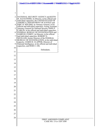|                | 8556233-640082228-758WDDacomeret819-3FiFets09730034P≥@8fo229                                                                    |
|----------------|---------------------------------------------------------------------------------------------------------------------------------|
|                |                                                                                                                                 |
| $\mathbf{1}$   | V.                                                                                                                              |
| $\overline{2}$ | NATIONAL SECURITY AGENCY and KEITH                                                                                              |
| 3              | B. ALEXANDER, its Director, in his official and<br>individual capacities; the UNITED STATES OF                                  |
| 4              | AMERICA; DEPARTMENT OF JUSTICE and<br>ERIC H. HOLDER, its Attorney General, in his                                              |
| 5              | official and individual capacities; Acting Assistant<br>Attorney General for National Security JOHN P.                          |
| 6              | CARLIN, in his official and individual capacities;<br>FEDERAL BUREAU OF INVESTIGATION and                                       |
| 7              | JAMES B. COMEY, its Director, in his official<br>and individual capacities; ROBERT S.                                           |
| 8              | MUELLER, former Director of the FEDERAL<br>BUREAU OF INVESTIGATION, in his individual)                                          |
| 9              | capacity; JAMES R. CLAPPER, Director of<br>National Intelligence, in his official and individual<br>capacities, and DOES 1-100, |
| 10             | Defendants.                                                                                                                     |
| 11             |                                                                                                                                 |
| 12             |                                                                                                                                 |
| 13             |                                                                                                                                 |
| 14             |                                                                                                                                 |
| 15             |                                                                                                                                 |
| 16             |                                                                                                                                 |
| 17             |                                                                                                                                 |
| 18             |                                                                                                                                 |
| 19             |                                                                                                                                 |
| 20             |                                                                                                                                 |
| 21             |                                                                                                                                 |
| 22             |                                                                                                                                 |
| 23             |                                                                                                                                 |
| 24             |                                                                                                                                 |
| 25             |                                                                                                                                 |
| 26<br>27       |                                                                                                                                 |
| 28             |                                                                                                                                 |
|                | FIRST AMENDED COMPLAINT<br>CASE NO. 13-cv-3287 JSW                                                                              |
|                |                                                                                                                                 |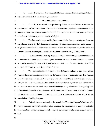- 1 2 1. Plaintiffs bring this action on behalf of themselves and, where indicated, on behalf of their members and staff. Plaintiffs allege as follows:
- 3

28

# **PRELIMINARY STATEMENT**

4 5 6 7 2. Plaintiffs, as described more particularly below, are associations, as well as the members and staffs of associations, who use the telephone to engage in private communications supportive of their associations and activities, including engaging in speech, assembly, petition for the redress of grievances, and the exercise of religion.

8 9 10 11 3. This lawsuit challenges an illegal and unconstitutional program of dragnet electronic surveillance, specifically the bulk acquisition, seizure, collection, storage, retention, and searching of telephone communications information (the "Associational Tracking Program") conducted by the National Security Agency (NSA) and the other defendants (collectively, "Defendants").

12 13 14 15 4. The Associational Tracking Program is vast. It collects telephone communications information for all telephone calls transiting the networks of all major American telecommunication companies, including Verizon, AT&T, and Sprint, ostensibly under the authority of section 215 of the USA PATRIOT Act, codified at 50 U.S.C. § 1861.

16 17 18 19 20 21 22 23 5. The communications information that Defendants collect in the Associational Tracking Program is retained and stored by Defendants in one or more databases. The Program collects information concerning all calls wholly within the United States, including local telephone calls, as well as all calls between the United States and abroad, regardless of a connection to international terrorism, reasonable suspicion of criminality, or any other form of wrongdoing. This information is stored for at least five years. Defendants have indiscriminately obtained, and stored the telephone communications information of millions of ordinary Americans as part of the Associational Tracking Program.

24 25 26 27 6. Defendants search and analyze the Associational Tracking Program's database(s) for various purposes, including but not limited to, obtaining the communications history of particular phone numbers, which, when aggregated, reveals those numbers' contacts and associations over time.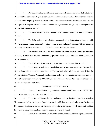# Cases: 13-3:c03227-JSW DDcoment86-3 Filet0930044 Page4 5f0229

- 1 2 3 4 5 7. Defendants' collection of telephone communicationsinformation includes, but is not limited to, records indicating who each customer communicates with, at what time, for how long and with what frequency communications occur. This communications information discloses the expressive and private associational connections among individuals and groups, including Plaintiffs and their members and staff.
- 6 7 8. The Associational Tracking Program has been going on in various forms since October 2001.
- 8 9 10 9. The bulk collection of telephone communications information without a valid, particularized warrant supported by probable cause violates the First, Fourth, and Fifth Amendments, as well as statutory prohibitions and limitations on electronic surveillance.
- 11 12 13 10. Defendants' searches of the Associational Tracking Program database(s) without a valid, particularized warrant supported by probable cause violate the First, Fourth, and Fifth Amendments.
	- 11. Plaintiffs' records are searched even if they are not targets of the search.
- 15 16 17 18 19 12. Plaintiffs are organizations, associations, and advocacy groups, their staffs, and their members who are current subscribers to Verizon and other telephone services. Using the Associational Tracking Program, Defendants seize, collect, acquire, retain, and search the records of the telephone communications of Plaintiffs, their members and staff, and others seeking to associate and communicate with them.
- 20

27

28

14

# **JURISDICTION AND VENUE**

- 21 22 13. This court has subject matter jurisdiction over the federal claims pursuant to 28 U.S.C. § 1331, 5 U.S.C. § 702, and the Constitution.
- 23 24 25 26 14. Plaintiffs are informed, believe, and thereon allege that Defendants have sufficient contacts with this district generally and, in particular, with the events herein alleged, that Defendants are subject to the exercise of jurisdiction of this court over the person of such Defendants and that venue is proper in this judicial district pursuant to 28 U.S.C. § 1391.
	- 15. Plaintiffs are informed, believe, and thereon allege that a substantial part of the events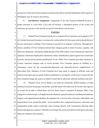1 2 giving rise to the claims herein alleged occurred in this district and that Defendants and/or agents of Defendants may be found in this district.

- 3 4 5 16. **Intradistrict Assignment:** Assignment to the San Francisco/Oakland division is proper pursuant to Local Rule 3-2(c) and (d) because a substantial portion of the events and omissions giving rise to this lawsuit occurred in this district and division.
- 6

# **PARTIES**

7 8 9 10 11 12 13 14 15 16 17 18 17. Plaintiff First Unitarian Church of Los Angeles(First Unitarian) was founded in 1877 by Caroline Seymour Severance, a woman who worked all her life for causes such as the abolition of slavery and women's suffrage. First Unitarian is located in Los Angeles, California. Throughout its history members of First Unitarian defined their religious goals in terms of justice, equality, and liberty for all persons. During the middle decades of the 20th century, First Unitarian provided aid to Japanese-Americans displaced by internment camps, defended free speech against anti-communist hysteria, and protested nuclear proliferation. In the 1980s, First Unitarian provided sanctuary to Central American refugees and, in recent decades, First Unitarian opened its building as a community center for the economically-depressed and ethnically-diverse neighborhood of MacArthur Park. Members of First Unitarian have been quick to engage in difficult work and controversial ideas and are proud of their contribution to moving the world closer to justice for all. First Unitarian brings this action on behalf of itself and its adversely affected members and staff.

19 20 21 22 23 24 25 26 27 18. Plaintiff Acorn Active Media is an outlet for technically skilled members to build technical resources for groups, non-profits, and individuals who otherwise do not have the capacity or would not be able to afford these services. Since Acorn's inception in January 2004, it has engaged in website design, web application development, general technical consulting and hardware support, and organizational database development for a diverse array of groups, individuals, and organizations from around the globe. Acorn members have supported democracy advocates and independent media outlets worldwide, often working directly with communities laboring under hostile and oppressive regimes. Plaintiff Acorn brings this action on behalf of itself and its adversely affected volunteers and members.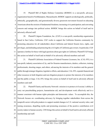1 2 3 4 5 6 19. Plaintiff Bill of Rights Defense Committee (BORDC) is a non-profit, advocacy organization based in Northhampton, Massachusetts. BORDC supports an ideologically, politically, ethnically, geographically, and generationally diverse grassroots movement focused on educating Americans about the erosion of fundamental freedoms; increasing civic participation; and converting concern and outrage into political action. BORDC brings this action on behalf of itself and its adversely affected staff.

7 8  $\overline{Q}$ 10 11 12 20. Plaintiff Calguns Foundation, Inc. (CGF) is a non-profit, membership organization based in San Carlos, California. CGF works to support the California firearms community by promoting education for all stakeholders about California and federal firearm laws, rights, and privileges, and defending and protecting the civil rights of California gun owners. In particular, CGF operates a hotline for those with legal questions about gun rights in California. Plaintiff CGF brings this action on behalf of itself and on behalf of its adversely affected members and staff.

13 14 15 16 17 18 19 21. Plaintiff California Association of Federal Firearms Licensees, Inc. (CAL-FFL) is a non-profit, industry association of, by, and for firearms manufacturers, dealers, collectors, training professionals, shooting ranges, and others, advancing the interests of its members and the general public through strategic litigation, legislative efforts, and education. CAL-FFL expends financial and other resources in both litigation and non-litigation projects to protect the interests of its members and the public at large. CAL-FFL brings this action on behalf of itself and its adversely affected members and staff.

20 21 22 23 24 25 26 27 22. Plaintiff Charity and Security Network's mission is to protect civil society's ability to carry out peacebuilding projects, humanitarian aid, and development work effectively and in a manner consistent with human rights principles and democratic values. To accomplish this, the Network focuses on: coordinating advocacy by bringing together stakeholders from across the nonprofit sector with policymakers to support needed changes in U.S. national security rules; and raising awareness, dispelling myths and promoting awareness of the positive contribution civil society makes to human security. CSN brings this action on behalf of itself and its adversely affected membership and staff.

# FIRST AMENDED COMPLAINT CASE NO. 13-cv-3287 JSW

 $\varDelta$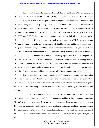## C<del>ase3:13-3\c03Z278-JSGW</del> DDcument186-3 File1d09/100/14 Page28 fof 29

- 1 2 3 4 5 6 7 23. Plaintiffs Council on American Islamic Relations – California (CAIR-CA), Council on American Islamic Relations-Ohio (CAIR-OHIO), and Council on American Islamic Relations-Foundation, Inc. (CAIR-F) are non-profit, advocacy organization with offices in California, Ohio, and Washington, D.C., respectively. CAIR-CA, CAIR-OHIO, and CAIR-F's missions are to enhance the understanding of Islam, encourage dialogue, protect civil liberties, empower American Muslims, and build coalitions that promote justice and mutual understanding. CAIR-CA, CAIR-OHIO, and CAIR-F bring this action on behalf of themselves and their adversely affected staffs.
- 8 9 10 11 24. Plaintiff Franklin Armory, a wholly owned subsidiary of CBE, Inc., is a state and federally licensed manufacturer of firearms located in Morgan Hill, California. Franklin Armory specializes in engineering and building products for restrictive firearms markets, such as California. Franklin Armory is a member of CAL-FFL. Franklin Armory brings this suit on its own behalf.
- 12 13 14 15 16 25. Plaintiff Free Press is a non-profit, advocacy organization based in Washington, D.C. Free Press's mission is to build a nationwide movement to change media and technology policies, promote the public interest, and strengthen democracy by advocating for universal and affordable Internet access, diverse media ownership, vibrant public media, and quality journalism. Free Press brings this action on behalf of itself and its adversely affected members and staff.
- 17 18 19 20 21 26. Plaintiff the Free Software Foundation (FSF) is a non-profit, membership organization based in Boston, Massachusetts. FSF helped pioneer a worldwide free software movement and provides an umbrella of legal and technical infrastructure for collaborative software development internationally. FSF brings this action on behalf of itself and its adversely affected members and staff.
- 22 23 24 25 26 27 27. Plaintiff Greenpeace, Inc. (Greenpeace) is a non-profit, membership organization headquartered in Washington, D.C. Through a domestic and international network of offices and staff, Greenpeace uses research, advocacy, public education, lobbying, and litigation to expose global environmental problems and to promote solutions that are essential to a green and peaceful future. Greenpeace brings this action on behalf of itself and its adversely affected members and staff. 28. Plaintiff Human Rights Watch (HRW) is a non-profit, advocacy organization, based in

# FIRST AMENDED COMPLAINT CASE NO. 13-cv-3287 JSW 5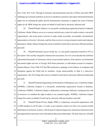#### C<del>ase3:13-3\c03Z278-JSGW</del> DDamment66-3 File1d09/10044 Page&9f0729

1 2 3 4 New York, New York. Through its domestic and international network of offices and staff, HRW challenges governments and those in power to end abusive practices and respect international human rights law by enlisting the public and the international community to support the cause of human rights for all. HRW brings this action on behalf of itself and its adversely affected staff.

5 6 7 8 9 10 29. Plaintiff Media Alliance is a non-profit, membership organization based in Oakland, California. Media Alliance serves as a resource and advocacy center for media workers, non-profit organizations, and social justice activists to make media accessible, accountable, decentralized, representative of society's diversity, and free from covert or overt government control and corporate dominance. Media Alliance brings this action on behalf of itself and its adversely affected members and staff.

11 12 13 14 15 16 17 18 30. Plaintiff National Lawyers Guild, Inc. is a non-profit corporation formed in 1937 as the nation's first racially integrated voluntary bar association. For over seven decades the Guild has represented thousands of Americans critical of government policies, from antiwar, environmental and animal rights activists, to Occupy Wall Street protesters, to individuals accused of computerrelated offenses. From 1940-1975 the FBI conducted a campaign of surveillance, investigation and disruption against the Guild and its members, trying unsuccessfully to label it a subversive organization. The NLG brings this action on behalf of itself and its adversely affected membership and staff.

19 20 21 22 23 31. Plaintiff National Organization for the Reform of Marijuana Laws, California Chapter (NORML, California Chapter) is a non-profit, membership organization located in Berkeley, California. NORML, California Chapter is dedicated to reforming California's marijuana laws and its mission is to establish the right of adults to use cannabis legally. NORML, California Chapter brings this action on behalf of itself and its adversely affected members and staff.

24 25 26 27 32. Plaintiff Patient Privacy Rights (PPR) is a bipartisan, non-profit organization with 12,000 members in all 50 states. It works to give patients control over their own sensitive health information in electronic systems, with the goal of empowering privacy and choices that protect jobs and opportunities and ensure trust in the patient-physician relationship. The lack of privacy of health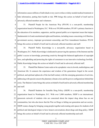### CaSe3:13-cv-03287875JSW Document8693 Filed093100134 Faance910 2829

1 2 3 information causes millions of individuals every year to refuse or delay needed medical treatment or hide information, putting their health at risk. PPR brings this action on behalf of itself and its adversely affected members and volunteers.

- 4 5 6 7 8 9 33. Plaintiff People for the American Way (PFAW) is a non-profit, membership organization based in Washington, D.C. With over 595,000 members, PFAW's primary function is the education of its members, supporters, and the general public as to important issues that impact fundamental civil and constitutional rights and freedoms, including issues concerning civil liberties, government secrecy, improper government censorship, and First Amendment freedoms. PFAW brings this action on behalf of itself and its adversely affected members and staff.
- 10 11 12 13 14 34. Plaintiff Public Knowledge is a non-profit, advocacy organization based in Washington, D.C. Public Knowledge is dedicated to preserving the openness of the Internet and the public's access to knowledge, promoting creativity through the balanced application of copyright laws, and upholding and protecting the rights of consumers to use innovative technology lawfully. Public Knowledge brings this action on behalf of itself and its adversely affected staff.
- 15 16 17 18 19 20 35. Plaintiff the Shalom Center seeks to be a prophetic voice in Jewish, multireligious, and American life. It connects the experience and wisdom of the generations forged in the social, political, and spiritual upheavals of the last half-century with the emerging generation of activists, addressing with special concern the planetary climate crisis and the power configurations behind that crisis. The Shalom Center brings this action on behalf of itself and its adversely affected membership and staff.
- 21 22 23 24 25 26 27 36. Plaintiff Students for Sensible Drug Policy (SSDP) is a non-profit, membership organization based in Washington, D.C. With over 3,000 members, SSDP is an international, grassroots network of students who are concerned about the impact drug abuse has on our communities, but who also know that the War on Drugs is failing our generation and our society. SSDP creates change by bringing young people together and creating safe spaces for students of all political and ideological stripes to have honest conversations about drugs and drug policy. SSDP brings this action on behalf of itself and its adversely affected membership and staff.

# FIRST AMENDED COMPLAINT CASE NO. 13-cv-3287 JSW 7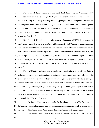1 2 3 4 5 6 7 37. Plaintiff TechFreedom is a non-profit, think tank based in Washington, D.C. TechFreedom's mission is promoting technology that improves the human condition and expands individual capacity to choose by educating the public, policymakers, and thought leaders about the kinds of public policies that enable technology to flourish. TechFreedom seeks to advance public policy that makes experimentation, entrepreneurship, and investment possible, and thus unleashes the ultimate resource: human ingenuity. TechFreedom brings this action on behalf of itself and its adversely affected staff.

8 9 10 11 12 13 14 15 38. Plaintiff Unitarian Universalist Service Committee (UUSC) is a non-profit, membership organization based in Cambridge, Massachusetts. UUSC advances human rights and social justice around the world, partnering with those who confront unjust power structures and mobilizing to challenge oppressive policies. Through a combination of advocacy, education, and partnerships with grassroots organizations, UUSC promotes economic rights, advances environmental justice, defends civil liberties, and preserves the rights of people in times of humanitarian crisis. UUSC brings this action on behalf of itself and its adversely affected members and staff.

16 17 18 19 20 21 22 23 39. All Plaintiffs make and receive telephone calls originating within the United States in furtherance of their mission and operations. In particular, Plaintiffs make and receive telephone calls to and from their members, staffs, and constituents, among other groups and individuals seeking to associate with them, in furtherance of their mission and operations, including advancing their political beliefs, exchanging ideas, and formulating strategy and messages in support of their causes. 40. Each of the Plaintiffs above is a membership organization and brings this action on behalf of its members has members whose communications information has been collected as part of the Associational Tracking Program.

24 25 26 41. Defendant NSA is an agency under the direction and control of the Department of Defense that seizes, collects, processes, and disseminates signals intelligence. It is responsible for carrying out at least some of the Associational Tracking Program challenged herein.

27

28

42. Defendant General Keith B. Alexander is the current Director of the NSA, in office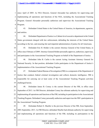### Cases:3.13-c032278-758W Document86-3 Filet0930034 Page121 2fo229

1 2 3 4 since April of 2005. As NSA Director, General Alexander has authority for supervising and implementing all operations and functions of the NSA, including the Associational Tracking Program. General Alexander personally authorizes and supervises the Associational Tracking Program.

5 6 43. Defendant United States is the United States of America, its departments, agencies, and entities.

7 8 9 44. Defendant Department of Justice is a Cabinet-level executive department in the United States government charged with law enforcement, defending the interests of the United States according to the law, and ensuring fair and impartial administration of justice for all Americans.

10 11 12 45. Defendant Eric H. Holder is the current Attorney General of the United States, in office since February of 2009. Attorney General Holder personally approves, authorizes, supervises, and participates in the Associational Tracking Program on behalf of the Department of Justice.

13 14 15 46. Defendant John B. Carlin is the current Acting Assistant Attorney General for National Security. In that position, defendant Carlin participates in the Department of Justice's implementation of the Associational Tracking Program.

16 17 18 19 47. Defendant Federal Bureau of Investigation (FBI) is a component of the Department of Justice that conducts federal criminal investigation and collects domestic intelligence. FBI is responsible for carrying out at least some of the Associational Tracking Program activities challenged herein.

20 21 22 23 24 48. Defendant James B. Comey is the current Director of the FBI, in office since September of 2013. As FBI Director, defendant Comey has ultimate authority for supervising and implementing all operations and functions of the FBI, including its participation in the Associational Tracking Program. Defendant Comey personally authorizes and supervisesthe FBI's participation in the Associational Tracking Program.

25 26 27 49. Defendant Robert S. Mueller is the previous Director of the FBI, from September, 2001-September, 2013. As FBI Director, defendant Mueller had ultimate authority for supervising and implementing all operations and functions of the FBI, including its participation in the

# FIRST AMENDED COMPLAINT CASE NO. 13-cv-3287 JSW 9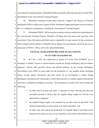1 2 Associational Tracking Program. Defendant Mueller personally authorized and supervised the FBI's participation in the Associational Tracking Program.

3 4 5 50. Defendant Lieutenant General (Ret.) James R. Clapper is the Director of National Intelligence (DNI), in office since August of 2010. Defendant Clapper participates in the activities of the U.S. intelligence community, including the Associational Tracking Program.

6

7 8 9 10 51. Defendants DOES 1-100 are persons or entities who have authorized or participated in the Associational Tracking Program. Plaintiffs will allege their true names and capacities when ascertained. Upon information and belief each is responsible in some manner for the occurrences herein alleged and the injuries to Plaintiffs herein alleged were proximately caused by the acts or omissions of DOES 1-100 as well as the named Defendants.

- 11
- 12

# **FACTUAL ALLEGATIONS RELATED TO ALL COUNTS STATUTORY BACKGROUND**

13 14 15 16 17 18 19 20 52. 50 U.S.C § 1861, the codification of section 215 of the USA PATRIOT Act, as amended, is entitled "Access to certain business records for foreign intelligence and surveillance purposes." Section 1861 provides narrow and limited authority for the Foreign Intelligence Surveillance Court (FISC) to issue orders for the production of "any tangible things (including books, records, papers, documents, and other items) for an investigation to obtain foreign intelligence information not concerning a United States person or to protect against international terrorism or clandestine intelligence activities." The limitations on section 1861 orders include the following:

21

22

23

24

25

26

27

- an order may be issued only upon "a statement of facts showing that there are reasonable grounds to believe that the tangible things sought are relevant to an authorized investigation;"
- the tangible things sought to be produced by an order must be described "with
	- sufficient particularity to permit them to be fairly identified;" and
	- an order "may only require the production of a tangible thing if such thing can be obtained with a *subpoena duces tecum* issued by a court of the United States in aid of
		- FIRST AMENDED COMPLAINT CASE NO. 13-cv-3287 JSW 10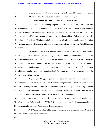a grand jury investigation or with any other order issued by a court of the United States directing the production of records or tangible things."

# **THE ASSOCIATIONAL TRACKING PROGRAM**

4 5 6 7 8 9 10 53. The Associational Tracking Program is electronic surveillance that collects and acquires telephone communications information for all telephone calls transiting the networks of all major American telecommunication companies, including Verizon, AT&T, and Sprint. Every day, the Associational Tracking Program collects information about millions of telephone calls made by millions of Americans. This includes information about all calls made wholly within the United States, including local telephone calls, as well as communications between the United States and abroad.

11 12 13 14 15 16 17 54. Defendants' Associational Tracking Program collects and acquires call detail records and comprehensive communications routing information about telephone calls. The collected information includes, but is not limited to, session identifying information (*e.g*., originating and terminating telephone number, International Mobile Subscriber Identity (IMSI) number, International Mobile station Equipment Identity (IMEI) number, etc.), trunk identifier, telephone calling card numbers, and time and duration of call. Defendants acquire this information through the use of a surveillance device.

18 19 20 21 22 55. Beginning in 2001, participating phone companies voluntarily provided telephone communications information for the Associational Tracking program to Defendants. Since 2006, the FISC, at the request of Defendants, has issued orders under 50 U.S.C. § 1861 purporting to compel the production of communications information, including communications information not yet in existence, on an ongoing basis, as part of the Associational Tracking Program.

23 24 25 56. As an example, attached hereto as Exhibit A, and incorporated herein by this reference, is an Order issued under 50 U.S.C. § 1861 requiring the production of communications information for use in the Associational Tracking Program.

26 27 57. DNI Clapper has admitted the Order is authentic, as indicated in Exhibit B, attached hereto and incorporated by this reference.

# FIRST AMENDED COMPLAINT CASE NO. 13-cv-3287 JSW 11

28

1

2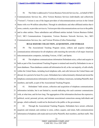1 2 3 4 5 6 7 8 58. The Order is addressed to Verizon Business Network Services Inc., on behalf of MCI Communications Services Inc., d/b/a Verizon Business Services (individually and collectively "Verizon"). Verizon is one of the largest providers of telecommunications services in the United States with over 98 million subscribers. Through its subsidiaries and other affiliated entities that it owns, controls, or provides services to, Verizon provides telecommunications services to the public and to other entities. These subsidiaries and affiliated entities include Verizon Business Global, LLC; MCI Communications Corporation; Verizon Business Network Services, Inc.; MCI Communications Services, Inc.; and Verizon Wireless (Cellco Partnership).

9

# **BULK SEIZURE COLLECTION, ACQUISITION, AND STORAGE**

10 11 12 59. The Associational Tracking Program seizes, collects and acquires telephone communications information for all telephone calls transiting the networks of all major American telecommunication companies, including Verizon, AT&T, and Sprint.

13 14 15 16 17 18 19 60. The telephone communications information Defendants seize, collect and acquire in bulk as part of the Associational Tracking Program is retained and stored by Defendants in one or more databases. These databases contain call information for all, or the vast majority, of calls wholly within the United States, including local telephone calls, and calls between the United States and abroad, for a period of at least five years. Defendants have indiscriminately obtained and stored the telephone communications information of millions of ordinary Americans, including Plaintiffs, their members, and staffs, as part of the Associational Tracking Program.

20 21 22 23 24 61. Defendants' bulk seizure, collection and acquisition of telephone communications information includes, but is not limited to, records indicating who each customer communicates with, at what time, and for how long. The aggregation of this information discloses the expressive, political, social, personal, private, and intimate associational connections among individuals and groups, which ordinarily would not be disclosed to the public or the government.

25 26 27 62. Through the Associational Tracking Program, Defendants have seized, collected, acquired, and retained, and continue to seize, collect, acquire, and retain, bulk communications information of telephone calls made and received by Plaintiffs, their members, and their staffs. This

> FIRST AMENDED COMPLAINT CASE NO. 13-cv-3287 JSW

 $12$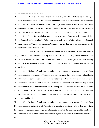1 information is otherwise private.

28

2 3 4 5 6 63. Because of the Associational Tracking Program, Plaintiffs have lost the ability to assure confidentiality in the fact of their communications to their members and constituent. Plaintiffs' associations and political advocacy efforts, as well as those of their members and staffs, are chilled by the fact that the Associational Tracking Program creates a permanent record of all of Plaintiffs' telephone communications with their members and constituents, among others.

7 8 9 10 64. Plaintiffs' associations and political advocacy efforts, as well as those of their members and staffs, are chilled by Defendants' search and analysis of information obtained through the Associational Tracking Program and Defendants' use and disclose of this information and the results of their searches and analyses.

11 12 13 14 15 65. Plaintiffs' telephone communications information obtained, retained, and searched pursuant to the Associational Tracking Program was at the time of acquisition, and at all times thereafter, neither relevant to an existing authorized criminal investigation nor to an existing authorized investigation to protect against international terrorism or clandestine intelligence activities.

16 17 18 19 20 21 22 23 66. Defendants' bulk seizure, collection, acquisition, and retention of the telephone communications information of Plaintiffs, their members, and their staffs is done without lawful authorization, probable cause, and/or individualized suspicion. It is done in violation of statutory and constitutional limitations and in excess of statutory and constitutional authority. Any judicial, administrative, or executive authorization (including any order issued pursuant to the business records provision of 50 U.S.C. § 1861) of the Associational Tracking Program or of the acquisition and retention of the communications information of Plaintiffs, their members, and their staffs is unlawful and invalid.

24 25 26 27 67. Defendants' bulk seizure, collection, acquisition, and retention of the telephone communications information of Plaintiffs, their members, and their staffs is done (a) without probable cause or reasonable suspicion to believe that Plaintiffs, their members, and their staffs have committed or are about to commit any crime or engage in any international terrorist activity; (b)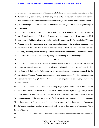#### Cases2:13-3:c032278-JSGW DDcumment869-3 File1e09040044 Page16 7f0729

1 2 3 4 5 without probable cause or reasonable suspicion to believe that Plaintiffs, their members, or their staffs are foreign powers or agents of foreign powers; and (c) without probable cause or reasonable suspicion to believe that the communications of Plaintiffs, their members, and their staffs contain or pertain to foreign intelligence information, or relate to an investigation to obtain foreign intelligence information.

6 7 8 9 10 11 12 68. Defendants, and each of them, have authorized, approved, supervised, performed, caused, participated in, aided, abetted, counseled, commanded, induced, procured, enabled, contributed to, facilitated, directed, controlled, assisted in, or conspired in the Associational Tracking Program and in the seizure, collection, acquisition, and retention of the telephone communications information of Plaintiffs, their members, and their staffs. Defendants have committed these acts willfully, knowingly, and intentionally. Defendants continue to commit these acts and will continue to do so absent an order of this Court enjoining and restraining them from doing so.

13

#### **SEARCH**

14 15 16 17 18 19 69. Through the Associational Tracking Program, Defendants have searched and continue to search communications information of telephone calls made and received by Plaintiffs, their members, and their staffs. Defendants use the communications information acquired for the Associational Tracking Program for a process known as "contact chaining" — the construction of an associational network graph that models the communication patterns of people, organizations, and their associates.

20 21 22 23 24 25 26 70. As part of the Associational Tracking Program, contact chains are created both in an automated fashion and based on particular queries. Contact chain analyses are typically performed for two degrees of separation (or two "hops") away from an intended target. That is, an associational network graph would be constructed not just for the target of a particular query, but for any number in direct contact with that target, and any number in contact with a direct contact of the target. Defendants sometimes conduct associational analyses up to three degrees of separation ("three hops") away.

27

28

71. The searches include Plaintiffs' communications information even if plaintiffs are not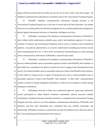1 2 3 4 5 6 targets of the government and even if they are not one, two or more "hops" away from a target. All telephone communications information is searched as part of the Associational Tracking Program. 72. Plaintiffs' telephone communications information searched pursuant to the Associational Tracking Program was, at the time of search and at all times thereafter, was neither relevant to an existing authorized criminal investigation nor to an existing authorized investigation to protect against international terrorism or clandestine intelligence activities.

7 8 9 10 11 12 73. Defendants' searching of the telephone communications information of Plaintiffs is done without lawful authorization, probable cause, and/or individualized suspicion. It is done in violation of statutory and constitutional limitations and in excess of statutory and constitutional authority. Any judicial, administrative, or executive authorization (including any business records order issued pursuant 50 U.S.C. § 1861) of the Associational Tracking Program or of the searching of the communications information of Plaintiffs is unlawful and invalid.

13 14 15 16 17 18 19 20 74. Defendants' searching of the telephone communications information of Plaintiffs is done (a) without probable cause or reasonable suspicion to believe that Plaintiffs, their members, or their staffs, have committed or are about to commit any crime or engage in any international terrorist activity; (b) without probable cause or reasonable suspicion to believe that Plaintiffs, their members, or their staffs are foreign powers or agents of foreign powers; and (c) without probable cause or reasonable suspicion to believe that Plaintiffs', their members', or their staffs' communications contain or pertain to foreign intelligence information or relate to an investigation to obtain foreign intelligence information.

21 22 23 24 25 26 27 75. Defendants, and each of them, have authorized, approved, supervised, performed, caused, participated in, aided, abetted, counseled, commanded, induced, procured, enabled, contributed to, facilitated, directed, controlled, assisted in, or conspired in the Associational Tracking Program and in the search or use of the telephone communications information of Plaintiffs, their members, and their staff. Defendants have committed these acts willfully, knowingly, and intentionally. Defendants continue to commit these acts and will continue to do so absent an order of this Court enjoining and restraining them from doing so.

# FIRST AMENDED COMPLAINT CASE NO. 13-cv-3287 JSW 15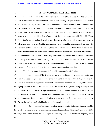1

# **INJURY COMMON TO ALL PLAINTIFFS**

2 3 4 5 6 7 8 9 10 11 12 13 14 15 76. Each and every Plaintiff is informed and believes that its associational activities have been harmed since the existence of the Associational Tracking Program became publicly known. Each Plaintiff has experienced a decrease in communications from members and constituents who had desired the fact of their communication to Plaintiff to remain secret, especially from the government and its various agencies, or has heard employees, members or associates express concerns about the confidentiality of the fact of their communications with Plaintiffs. Those Plaintiffs who operate hotlines have observed a decrease in calls to the hotlines and/or an increase in callers expressing concern about the confidentiality of the fact of their communications. Since the disclosure of the Associational Tracking Program, Plaintiffs have lost the ability to assure their members and constituents, as well as all others who seek to communicate with them, that the fact of their communications to Plaintiffs will be kept confidential, especially from the federal government, including its various agencies. This injury stems not from the disclosure of the Associational Tracking Program, but from the existence and operation of the program itself. Before the public disclosure of the program, Plaintiffs' assurances of confidentiality were illusory.

16

28

77. For instance, these specific Plaintiffs experienced the following:

17 18 19 20 21 22 23 24 (a) Plainitff First Unitarian has a proud history of working for justice and protecting people in jeopardy for expressing their political views. In the 1950s, it resisted the McCarthy hysteria and supported blacklisted Hollywood writers and actors, and fought California's 'loyalty oaths' all the way to the Supreme Court. And in the 1980s, it gave sanctuary to refugees from civil wars in Central America. The principles of its faith often require the church to take bold stands on controversial issues. Church members and neighbors who come to the church for help should not fear that their participation in the church might have consequences for themselves or their families. This spying makes people afraid to belong to the church community.

25 26 27 (b) Plaintiff Calguns Foundation runs a hotline for that allows the general public to call to ask questions about California's byzantine firearms laws. It has members who would be very worried about having their calls taped and stored by NSA/FBI when they're enquiring about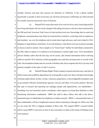1 2 3 whether firearms and parts they possess are felonious in California. It has a phone number specifically so people or their loved ones can call from jail becaues Californians are often arrested for actually innocent possession oruse of firearms.

4 5 6 7 8 9 10 11 12 13 14 15 (c) Plaintiff NLG notes that much of its work involves cases (some high profile) involving individuals who have been charged with aiding terrorism or who have been monitored by the FBI and Joint Terrorism Task Forces for their political activism. Knowledge that its email and telephonic communications may likely be monitored has resulted in restricting what its employees and members say over the telephone and in email about legal advocacy and work related to NLG litigation or legal defense committees. In several instances, it has had to convene in-person meetings to discuss sensitive matters. One example is its "Green Scare" hotline for individuals contacted by the FBI, either as targets or in relation to environmental or animal rights cases. NLG immediately advises Hotline callers that the line may not be secure, asks limited information before referring callers to specific NLG attorneys in their geographic area, and does not keep notes or records of the calls. One foundation funder asks for records of Hotline calls, but in response the NLG can only send general examples of the types of calls it receives.

16 17 18 19 20 21 22 23 24 25 26 27 (d) Plaintiff Human Rights Watch conducts research and advocacy such that its effectiveness and credibility depend heavily on being able to interview those with direct knowledge of human rights abuses, be they victims, witnesses, perpetrators, or knowledgeable bystanders such as government officials, humanitarian agencies, lawyers and other civil society partners. Because this type of research and reporting can endanger people and organizations, our stakeholders including even our researchers and/or consultants--often require us to keep their identities or other identifying information confidential. HRW has staff in these offices who talk to the abovementioned types of stakeholders by telephone to conduct research. HRW is concerned that many of these stakeholders will have heightened concerns about contacting us through our offices now that we are aware the NSA is logging metadata of these calls. This impairs HRW's research ability and/or causes HRW to rely more on face-to-face encounters or other costly means of holding secure conversations.

# FIRST AMENDED COMPLAINT CASE NO. 13-cv-3287 JSW 17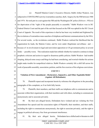# Case\$3.3-6c032278-JS&W DDcoment8 6-3 Filed09/30034 Page22 bfo229

| subjected to COINTELPRO activity (warrantless searches, theft, forgery) by the FBI between 1968<br>and 1974. He took part in a suit against the FBI and the Washington DC police ( <i>Hobson v. Wilson</i> )<br>for deprivation of the "right of the people peaceably to assemble." Rabbi Waskow won in DC<br>Federal District Court and the part of the suit that focused on the FBI was upheld in the DC Circuit<br>Court of Appeals. The result of this experience is that he has been very troubled and frightened by |  |
|---------------------------------------------------------------------------------------------------------------------------------------------------------------------------------------------------------------------------------------------------------------------------------------------------------------------------------------------------------------------------------------------------------------------------------------------------------------------------------------------------------------------------|--|
|                                                                                                                                                                                                                                                                                                                                                                                                                                                                                                                           |  |
|                                                                                                                                                                                                                                                                                                                                                                                                                                                                                                                           |  |
|                                                                                                                                                                                                                                                                                                                                                                                                                                                                                                                           |  |
|                                                                                                                                                                                                                                                                                                                                                                                                                                                                                                                           |  |
|                                                                                                                                                                                                                                                                                                                                                                                                                                                                                                                           |  |
| the revelations of warrantless mass searches of telephone and Internet communications by the NSA.                                                                                                                                                                                                                                                                                                                                                                                                                         |  |
| For several weeks, as the revelations continued, Rabbi Waskow realized the likelihood that the                                                                                                                                                                                                                                                                                                                                                                                                                            |  |
| organization he leads, the Shalom Center, and he were under illegitimate surveillance and —                                                                                                                                                                                                                                                                                                                                                                                                                               |  |
| because of its involvement in legal and nonviolent opposition to US government policy in several                                                                                                                                                                                                                                                                                                                                                                                                                          |  |
| fields — possibly worse. This realization made him rethink whether he wanted to continue in sharp                                                                                                                                                                                                                                                                                                                                                                                                                         |  |
| prophetic criticism and action in regard to disastrous public policies. Rabbi Waskow had trouble                                                                                                                                                                                                                                                                                                                                                                                                                          |  |
| sleeping, delayed some essays and blogs he had been considering, and worried whether his actions                                                                                                                                                                                                                                                                                                                                                                                                                          |  |
| might make trouble for nonpolitical relatives. Rabbi Waskow certainly felt a chill fall across his                                                                                                                                                                                                                                                                                                                                                                                                                        |  |
| work of peaceable assembly, association, petition, and the free exercise of his religious convictions.                                                                                                                                                                                                                                                                                                                                                                                                                    |  |
| <b>COUNT I</b><br>16                                                                                                                                                                                                                                                                                                                                                                                                                                                                                                      |  |
| Violation of First Amendment-Declaratory, Injunctive, and Other Equitable Relief<br>17<br>(Against All Defendants)<br>18                                                                                                                                                                                                                                                                                                                                                                                                  |  |
| Plaintiffs repeat and incorporate herein by reference the allegations in the preceding<br>78.                                                                                                                                                                                                                                                                                                                                                                                                                             |  |
| paragraphs of this complaint, as if set forth fully herein.                                                                                                                                                                                                                                                                                                                                                                                                                                                               |  |
| Plaintiffs, their members, and their staffs use telephone calls to communicate and to<br>79.                                                                                                                                                                                                                                                                                                                                                                                                                              |  |
| associate within their organization, with their members and with others, including to communicate                                                                                                                                                                                                                                                                                                                                                                                                                         |  |
| anonymously and to associate privately.                                                                                                                                                                                                                                                                                                                                                                                                                                                                                   |  |
| 80.<br>By their acts alleged herein, Defendants have violated and are violating the First                                                                                                                                                                                                                                                                                                                                                                                                                                 |  |
| Amendment free speech and free association rights of Plaintiffs, their members, and their staffs,                                                                                                                                                                                                                                                                                                                                                                                                                         |  |
| including the right to communicate anonymously, the right to associate privately, and the right to                                                                                                                                                                                                                                                                                                                                                                                                                        |  |
| engage in political advocacy free from government interference.                                                                                                                                                                                                                                                                                                                                                                                                                                                           |  |
| 81.<br>alleged herein, Defendants have chilled and/or threaten to chill<br>their acts<br>By<br>18                                                                                                                                                                                                                                                                                                                                                                                                                         |  |
|                                                                                                                                                                                                                                                                                                                                                                                                                                                                                                                           |  |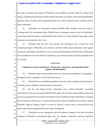## Cases:3.13-c032278-758W DDcomment86-3 Filetd0930034 Page22 2fo229

1 2 3 4 the legal associations and speech of Plaintiffs, their members, and their staffs by, among other things, compelling the disclosure of their political and other associations, and eliminating Plaintiffs' ability to assure members and constituents that the fact of their communications with them will be kept confidential.

5 6 7 8 82. Defendants are irreparably harming Plaintiffs, their members, and their staffs by violating their First Amendment rights. Plaintiffs have no adequate remedy at law for Defendants' continuing unlawful conduct, and Defendants will continue to violate Plaintiffs' legal rights unless enjoined and restrained by this Court.

9 10 11 12 13 83. Plaintiffs seek that this Court declare that Defendants have violated the First Amendment rights of Plaintiffs, their members, and their staffs; enjoin Defendants, their agents, successors, and assigns, and all those in active concert and participation with them from violating the First Amendment to the United States Constitution; and award such other and further equitable relief as is proper.

#### 14 15 16 17 18 19 **COUNT II Violation of Fourth Amendment—Declaratory, Injunctive, and Equitable Relief (Against All Defendants)** 84. Plaintiffs repeat and incorporate herein by reference the allegations in paragraphs 1 through 66 of this complaint, as if set forth fully herein. 85. Plaintiffs have a reasonable expectation of privacy in their telephone communications,

20 including in their telephone communications information.

21 22 23 24 25 26 86. By the acts alleged herein, Defendants have violated Plaintiffs' reasonable expectations of privacy and denied Plaintiffs their right to be free from unreasonable searches and seizures as guaranteed by the Fourth Amendment to the Constitution of the United States, including, but not limited to, obtaining *per se* unreasonable general warrants. Defendants have further violated Plaintiffs' rights by failing to apply to a court for, and for a court to issue, a warrant prior to any search and seizure as guaranteed by the Fourth Amendment.

19 27 28 87. Defendants are now engaging in and will continue to engage in the above-described violations of Plaintiffs' constitutional rights, and are thereby irreparably harming Plaintiffs.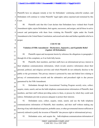1 2 3 Plaintiffs have no adequate remedy at law for Defendants' continuing unlawful conduct, and Defendants will continue to violate Plaintiffs' legal rights unless enjoined and restrained by this Court.

4 5 6 7 8 88. Plaintiffs seek that this Court declare that Defendants have violated their Fourth Amendment rights; enjoin Defendants, their agents, successors, and assigns, and all those in active concert and participation with them from violating the Plaintiffs' rights under the Fourth Amendment to the United States Constitution; and award such other and further equitable relief as is proper.

# 9

- 10
- 11

12

13

28

# **Violation of Fifth Amendment—Declaratory, Injunctive, and Equitable Relief**

# 89. Plaintiffs repeat and incorporate herein by reference the allegations in paragraphs 1 through 66 of this complaint, as if set forth fully herein.

**COUNT III**

**(Against All Defendants)**

14 15 16 17 18 19 90. Plaintiffs, their members, and their staffs have an informational privacy interest in their telephone communications information, which reveals sensitive information about their personal, political, and religious activities and which Plaintiffs do not ordinarily disclose to the public or the government. This privacy interest is protected by state and federal laws relating to privacy of communications records and the substantive and procedural right to due process guaranteed by the Fifth Amendment.

20 21 22 23 91. Defendants through their Associational Tracking Program secretly seize, collect, acquire, retain, search, and use the bulk telephone communications information of Plaintiffs, their members, and their staff without providing notice to them, or process by which they could seek redress. Defendants provide no process adequate to protect their interests.

24 25 26 27 92. Defendants seize, collect, acquire, retain, search, and use the bulk telephone communications information of Plaintiffs, their members, and their staff without making any showing of any individualized suspicion, probable cause, or other governmental interest sufficient or narrowly tailored to justify the invasion of Plaintiffs' due process right to informational privacy.

20 93. Defendants seize, and acquire the bulk telephone communications information of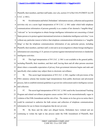1 2 Plaintiffs, their members, and their staff under, *inter alia*, section 215 of the USA-PATRIOT Act (50 U.S.C. § 1861).

3 4 5 6 7 8 9 10 11 12 94. On information and belief, Defendants' information seizure, collection and acquisition activities rely on a secret legal interpretation of 50 U.S.C. § 1861 under which bulk telephone communications information of persons generally is as a matter of law deemed a "tangible thing" "relevant" to "an investigation to obtain foreign intelligence information not concerning a United States person or to protect against international terrorism or clandestine intelligence activities," even without any particular reason to believe that telephone communications information is a "tangible thing" or that the telephone communications information of any particular person, including Plaintiffs, their members, and their staff, is relevant to an investigation to obtain foreign intelligence information not concerning a U.S. person or to protect against international terrorism or clandestine intelligence activities.

13 14 15 16 95. This legal interpretation of 50 U.S.C. § 1861 is not available to the general public, including Plaintiffs, their members, and their staff, leaving them and all other persons uncertain about where a reasonable expectation of privacy from government intrusion begins and ends and specifically what conduct may subject them to electronic surveillance.

17 18 19 20 96. This secret legal interpretation of 50 U.S.C. § 1861, together with provisions of the FISA statutory scheme that insulate legal interpretations from public disclosure and adversarial process, fails to establish minimal guidelines to govern law enforcement and/or intelligence seizure and collection.

21 22 23 24 25 97. The secret legal interpretation of 50 U.S.C. § 1861 used in the Associational Tracking Program and related surveillance programs causes section 1861 to be unconstitutionally vague in violation of the Fifth Amendment and the rule of law. The statute on its face gives no notice that it could be construed to authorize the bulk seizure and collection of telephone communications information for use in future investigations that do not yet exist.

26 27 98. By these and the other acts alleged herein, Defendants have violated and are continuing to violate the right to due process under the Fifth Amendment of Plaintiffs, their

# FIRST AMENDED COMPLAINT CASE NO. 13-cv-3287 JSW  $21$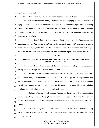1 members, and their staff.

21

2 3 4 5 6 7 8 9 10 11 12 13 14 15 16 17 18 19 20 99. By the acts alleged herein, Defendants' conduct proximately caused harm to Plaintiffs. 100. On information and belief, Defendants are now engaging in and will continue to engage in the above-described violations of Plaintiffs' constitutional rights, and are thereby irreparably harming Plaintiffs. Plaintiffs have no adequate remedy at law for Defendants' continuing unlawful conduct, and Defendants will continue to violate Plaintiffs' legal rights unless enjoined and restrained by this Court. 101. Plaintiffs seek that this Court declare that Defendants have violated their due process rights under the Fifth Amendment to the United States Constitution; enjoin Defendants, their agents, successors, and assigns, and all those in active concert and participation with them from violating the Plaintiffs' due process rights; and award such other and further equitable relief as is proper. **COUNT IV Violation of 50 U.S.C. § 1861—Declaratory, Injunctive and Other Equitable Relief (Against All Defendants)** 102. Plaintiffs repeat and incorporate herein by reference the allegations in paragraph 1 through 66 of this complaint, as if set forth fully herein. 103. The business records order provision set forth in 50 U.S.C. § 1861 limits Defendants' ability to seek telephone communications information. It does not permit the suspicionless bulk seizure and collection of telephone communications information unconnected to any ongoing investigation. It does not permit an order requiring the production of intangible things, including telephone communications information not yet in existence.

22 23 24 25 104. Defendants' Associational Tracking Program and the seizure, collection, acquisition, retention, searching, and use of the telephone communications records of Plaintiffs, their members, and their staff exceed the conduct that may be lawfully authorized by an order issued under 50 U.S.C § 1861.

26 27 28 105. By the acts alleged herein, Defendants are acting in excess of their statutory authority and in violation of the express statutory limitations and procedures Congress has imposed on them in 50 U.S.C. § 1861.

# FIRST AMENDED COMPLAINT CASE NO. 13-cv-3287 JSW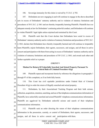1

106. Sovereign immunity for this claim is waived by 5 U.S.C. § 702.

2 3 4 5 6 7 8 9 10 107. Defendants are now engaging in and will continue to engage in the above-described acts in excess of Defendants' statutory authority and in violation of statutory limitations and procedures of 50 U.S.C. § 1861 and are thereby irreparably harming Plaintiffs. Plaintiffs have no adequate remedy at law for Defendants' continuing unlawful conduct, and Defendants will continue to violate Plaintiffs' legal rights unless enjoined and restrained by this Court. 108. Plaintiffs seek that this Court declare that Defendants have acted in excess of Defendants' statutory authority and in violation of statutory limitations and procedures of 50 U.S.C. § 1861; declare that Defendants have thereby irreparably harmed and will continue to irreparably harm Plaintiffs; enjoin Defendants, their agents, successors, and assigns, and all those in active

11 12 13 concert and participation with them from acting in excess of Defendants' statutory authority and in violation of statutory limitations and procedures of 50 U.S.C. § 1861; and award such other and further equitable relief as is proper.

14 15 16 17 18 19 20 **COUNT V Motion For Return Of Unlawfully Searched And Seized Property Pursuant To Federal Rule of Criminal Procedure 41(g)** 109. Plaintiffs repeat and incorporate herein by reference the allegations in paragraphs 1 through 97 of this complaint, as if set forth fully herein. 110. This Court has civil equitable jurisdiction under Federal Rule of Criminal Procedure 41(g) to order the return of illegally searched and seized property.

21 22 23 24 25 111. Defendants, by their Associational Tracking Program and their bulk seizure, collection, acquisition, retention, searching, and use of the telephone communications information of Plaintiffs, have unlawfully searched and seized Plaintiffs' telephone communications information. Plaintiffs are aggrieved by Defendants unlawful seizure and search of their telephone communications information.

26 27 28 112. Plaintiffs seek an order directing the return of their telephone communications information in the possession, custody, or control of Defendants, their agents, successors, and assigns, and all those in active concert and participation with them.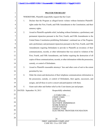# **PRAYER FOR RELIEF**

WHEREFORE, Plaintiffs respectfully request that the Court:

1

2

3

4

5

20

- 1. Declare that the Program as alleged herein violates without limitation Plaintiffs' rights under the First, Fourth, and Fifth Amendments to the Constitution; and their statutory rights;
- 6 7 8 9 10 11 12 13 14 2. Award to Plaintiffs equitable relief, including without limitation, a preliminary and permanent injunction pursuant to the First, Fourth, and Fifth Amendments to the United States Constitution prohibiting Defendants' continued use of the Program, and a preliminary and permanent injunction pursuant to the First, Fourth, and Fifth Amendments requiring Defendants to provide to Plaintiffs an inventory of their communications, records, or other information that was seized in violation of the First, Fourth, and Fifth Amendments, and further requiring the destruction of all copies of those communications, records, or other information within the possession, custody, or control of Defendants.
- 15 16 3. Award to Plaintiffs reasonable attorneys' fees and other costs of suit to the extent permitted by law.
- 17 18 19 4. Order the return and destruction of their telephone communications information in the possession, custody, or control of Defendants, their agents, successors, and assigns, and all those in active concert and participation with them.
	- 5. Grant such other and further relief as the Court deems just and proper.
- FIRST AMENDED COMPLAINT 24 21 22 23 24 25 26 27 28 DATED: September 10, 2013 Respectfully submitted, /s/ Cindy Cohn CINDY COHN LEE TIEN KURT OPSAHL MATTHEW ZIMMERMAN MARK RUMOLD DAVID GREENE JAMES S. TYRE ELECTRONIC FRONTIER FOUNDATION

CASE NO. 13-cv-3287 JSW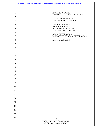